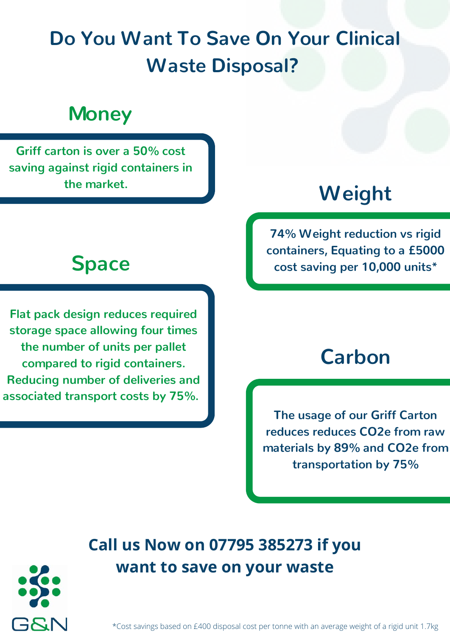# **Do You Want To Save On Your Clinical Waste Disposal?**

## **Money**

**Griff carton is over a 50% cost saving against rigid containers in the market. Weight**

**Flat pack design reduces required storage space allowing four times the number of units per pallet compared to rigid containers. Reducing number of deliveries and associated transport costs by 75%.** 

**74% Weight reduction vs rigid containers, Equating to a £5000 Space cost saving per 10,000 units\***

### **Carbon**

**The usage of our Griff Carton reduces reduces CO2e from raw materials by 89% and CO2e from transportation by 75%**

### **Call us Now on 07795 385273 if you want to save on your waste**